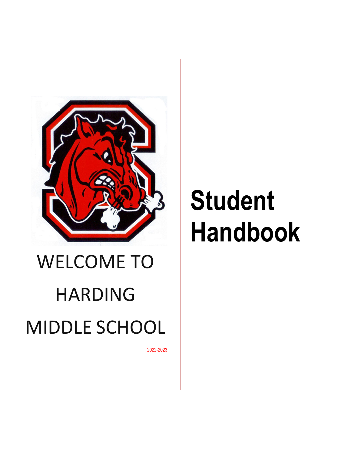

# WELCOME TO HARDING MIDDLE SCHOOL

2022-2023

# **Student Handbook**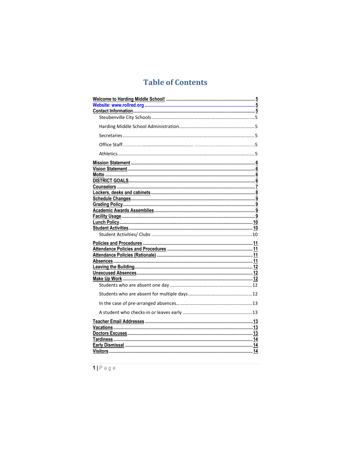## **Table of Contents**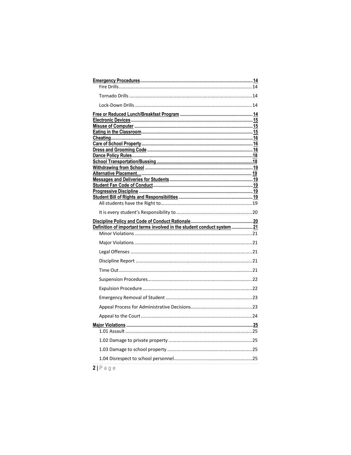| Definition of important terms involved in the student conduct system  21 |  |
|--------------------------------------------------------------------------|--|
|                                                                          |  |
|                                                                          |  |
|                                                                          |  |
|                                                                          |  |
|                                                                          |  |
|                                                                          |  |
|                                                                          |  |
|                                                                          |  |
|                                                                          |  |
|                                                                          |  |
|                                                                          |  |
|                                                                          |  |
|                                                                          |  |
|                                                                          |  |
|                                                                          |  |
|                                                                          |  |

 $2|P$ age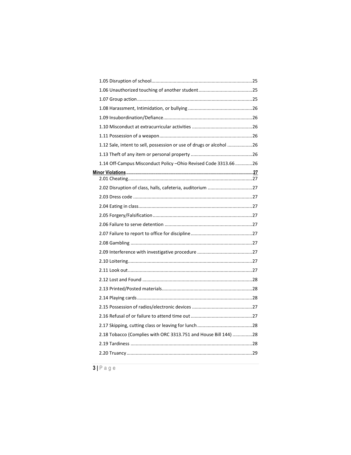| 1.12 Sale, intent to sell, possession or use of drugs or alcohol 26 |  |
|---------------------------------------------------------------------|--|
|                                                                     |  |
| 1.14 Off-Campus Misconduct Policy - Ohio Revised Code 3313.66  26   |  |
|                                                                     |  |
|                                                                     |  |
| 2.02 Disruption of class, halls, cafeteria, auditorium 27           |  |
|                                                                     |  |
|                                                                     |  |
|                                                                     |  |
|                                                                     |  |
|                                                                     |  |
|                                                                     |  |
|                                                                     |  |
|                                                                     |  |
|                                                                     |  |
|                                                                     |  |
|                                                                     |  |
|                                                                     |  |
|                                                                     |  |
|                                                                     |  |
|                                                                     |  |
| 2.18 Tobacco (Complies with ORC 3313.751 and House Bill 144) 28     |  |
|                                                                     |  |
|                                                                     |  |
|                                                                     |  |
|                                                                     |  |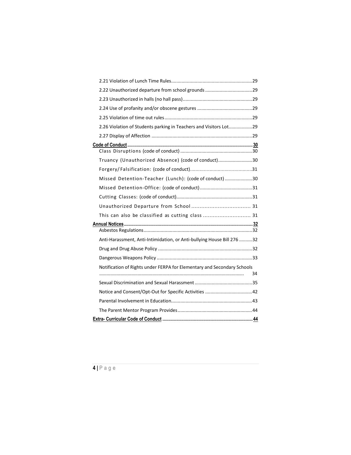| 2.26 Violation of Students parking in Teachers and Visitors Lot29       |    |
|-------------------------------------------------------------------------|----|
|                                                                         |    |
|                                                                         |    |
| Truancy (Unauthorized Absence) (code of conduct)30                      |    |
|                                                                         |    |
| Missed Detention-Teacher (Lunch): (code of conduct)30                   |    |
|                                                                         |    |
|                                                                         |    |
|                                                                         |    |
| This can also be classified as cutting class  31                        |    |
|                                                                         |    |
| Anti-Harassment, Anti-Intimidation, or Anti-bullying House Bill 276 32  |    |
|                                                                         |    |
|                                                                         |    |
| Notification of Rights under FERPA for Elementary and Secondary Schools | 34 |
|                                                                         |    |
| Notice and Consent/Opt-Out for Specific Activities 42                   |    |
|                                                                         |    |
|                                                                         |    |
|                                                                         |    |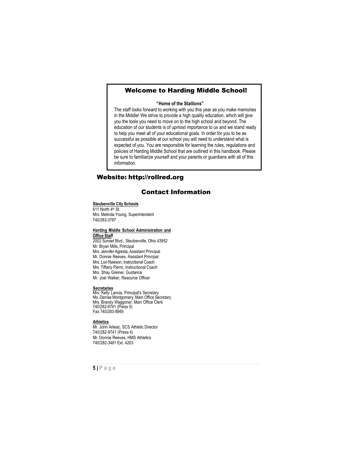## <span id="page-5-0"></span>Welcome to Harding Middle School!

#### **"Home of the Stallions"**

The staff looks forward to working with you this year as you make memories in the Middle! We strive to provide a high quality education, which will give you the tools you need to move on to the high school and beyond. The education of our students is of upmost importance to us and we stand ready to help you meet all of your educational goals. In order for you to be as successful as possible at our school you will need to understand what is expected of you. You are responsible for learning the rules, regulations and policies of Harding Middle School that are outlined in this handbook. Please be sure to familiarize yourself and your parents or guardians with all of this information.

## Website: [http://rollred.org](http://rollred.org/)

## Contact Information

#### <span id="page-5-2"></span><span id="page-5-1"></span>**Steubenville City Schools**

611 North 4th St. Mrs. Melinda Young, Superintendent 740/283-3767

#### <span id="page-5-3"></span>**Harding Middle School Administration and Office Staff**

2002 Sunset Blvd., Steubenville, Ohio 43952 Mr. Bryan Mills, Principal Mrs. Jennifer Agresta, Assistant Principal Mr. Donnie Reeves, Assistant Principal Mrs. Lori Rawson, Instructional Coach Mrs. Tiffany Pierro, Instructional Coach Mrs. Shay Greiner, Guidance Mr. Joel Walker, Resource Officer

#### <span id="page-5-4"></span>**Secretaries**

Mrs. Kelly Lancia, Principal's Secretary Ms. Denise Montgomery, Main Office Secretary Mrs. Brandy Waggoner, Main Office Clerk 740/282-9741 (Press 5) Fax 740/283-8949

#### <span id="page-5-5"></span>**Athletics**

Mr. John Arlesic, SCS Athletic Director 740/282-9741 (Press 4) Mr. Donnie Reeves, HMS Athletics 740/282-3481 Ext. 4203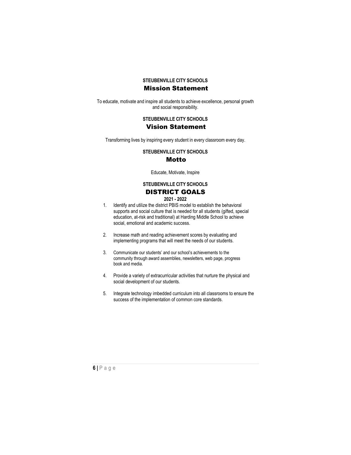## **STEUBENVILLE CITY SCHOOLS** Mission Statement

<span id="page-6-1"></span><span id="page-6-0"></span>To educate, motivate and inspire all students to achieve excellence, personal growth and social responsibility.

## **STEUBENVILLE CITY SCHOOLS**

## Vision Statement

<span id="page-6-2"></span>Transforming lives by inspiring every student in every classroom every day.

**STEUBENVILLE CITY SCHOOLS**

## Motto

Educate, Motivate, Inspire

## **STEUBENVILLE CITY SCHOOLS** DISTRICT GOALS

## **2021 - 2022**

- <span id="page-6-3"></span>1. Identify and utilize the district PBIS model to establish the behavioral supports and social culture that is needed for all students (gifted, special education, at-risk and traditional) at Harding Middle School to achieve social, emotional and academic success.
- 2. Increase math and reading achievement scores by evaluating and implementing programs that will meet the needs of our students.
- 3. Communicate our students' and our school's achievements to the community through award assemblies, newsletters, web page, progress book and media.
- 4. Provide a variety of extracurricular activities that nurture the physical and social development of our students.
- 5. Integrate technology imbedded curriculum into all classrooms to ensure the success of the implementation of common core standards.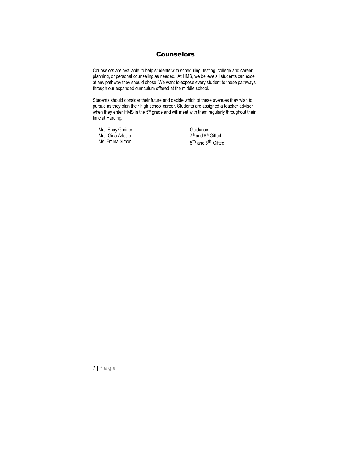## Counselors

<span id="page-7-0"></span>Counselors are available to help students with scheduling, testing, college and career planning, or personal counseling as needed. At HMS, we believe all students can excel at any pathway they should chose. We want to expose every student to these pathways through our expanded curriculum offered at the middle school.

Students should consider their future and decide which of these avenues they wish to pursue as they plan their high school career. Students are assigned a teacher advisor when they enter HMS in the 5<sup>th</sup> grade and will meet with them regularly throughout their time at Harding.

Mrs. Shay Greiner Mrs. Gina Arlesic Ms. Emma Simon

Guidance  $7<sup>th</sup>$  and  $8<sup>th</sup>$  Gifted 5<sup>th</sup> and 6<sup>th</sup> Gifted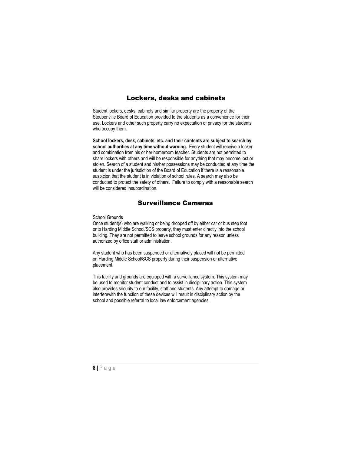## Lockers, desks and cabinets

<span id="page-8-0"></span>Student lockers, desks, cabinets and similar property are the property of the Steubenville Board of Education provided to the students as a convenience for their use. Lockers and other such property carry no expectation of privacy for the students who occupy them.

**School lockers, desk, cabinets, etc. and their contents are subject to search by school authorities at any time without warning.** Every student will receive a locker and combination from his or her homeroom teacher. Students are not permitted to share lockers with others and will be responsible for anything that may become lost or stolen. Search of a student and his/her possessions may be conducted at any time the student is under the jurisdiction of the Board of Education if there is a reasonable suspicion that the student is in violation of school rules. A search may also be conducted to protect the safety of others. Failure to comply with a reasonable search will be considered insubordination.

## Surveillance Cameras

#### School Grounds

Once student(s) who are walking or being dropped off by either car or bus step foot onto Harding Middle School/SCS property, they must enter directly into the school building. They are not permitted to leave school grounds for any reason unless authorized by office staff or administration.

Any student who has been suspended or alternatively placed will not be permitted on Harding Middle School/SCS property during their suspension or alternative placement.

This facility and grounds are equipped with a surveillance system. This system may be used to monitor student conduct and to assist in disciplinary action. This system also provides security to our facility, staff and students. Any attempt to damage or interferewith the function of these devices will result in disciplinary action by the school and possible referral to local law enforcement agencies.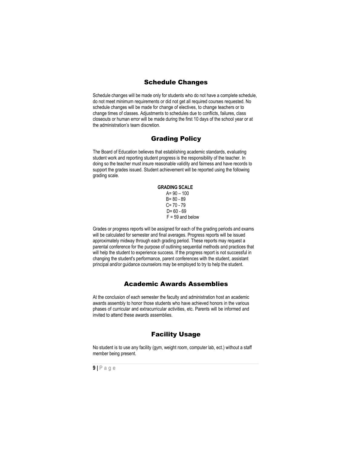## Schedule Changes

<span id="page-9-0"></span>Schedule changes will be made only for students who do not have a complete schedule, do not meet minimum requirements or did not get all required courses requested. No schedule changes will be made for change of electives, to change teachers or to change times of classes. Adjustments to schedules due to conflicts, failures, class closeouts or human error will be made during the first 10 days of the school year or at the administration's team discretion.

## Grading Policy

<span id="page-9-1"></span>The Board of Education believes that establishing academic standards, evaluating student work and reporting student progress is the responsibility of the teacher. In doing so the teacher must insure reasonable validity and fairness and have records to support the grades issued. Student achievement will be reported using the following grading scale.

#### **GRADING SCALE**  $A = 90 - 100$ B= 80 - 89  $C = 70 - 79$  $D = 60 - 69$  $F = 59$  and below

Grades or progress reports will be assigned for each of the grading periods and exams will be calculated for semester and final averages. Progress reports will be issued approximately midway through each grading period. These reports may request a parental conference for the purpose of outlining sequential methods and practices that will help the student to experience success. If the progress report is not successful in changing the student's performance, parent conferences with the student, assistant principal and/or guidance counselors may be employed to try to help the student.

## Academic Awards Assemblies

<span id="page-9-2"></span>At the conclusion of each semester the faculty and administration host an academic awards assembly to honor those students who have achieved honors in the various phases of curricular and extracurricular activities, etc. Parents will be informed and invited to attend these awards assemblies.

## Facility Usage

<span id="page-9-3"></span>No student is to use any facility (gym, weight room, computer lab, ect.) without a staff member being present.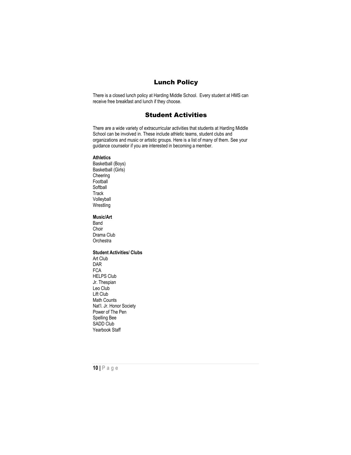## Lunch Policy

<span id="page-10-0"></span>There is a closed lunch policy at Harding Middle School. Every student at HMS can receive free breakfast and lunch if they choose.

## Student Activities

<span id="page-10-1"></span>There are a wide variety of extracurricular activities that students at Harding Middle School can be involved in. These include athletic teams, student clubs and organizations and music or artistic groups. Here is a list of many of them. See your guidance counselor if you are interested in becoming a member.

#### **Athletics**

Basketball (Boys) Basketball (Girls) Cheering **Football** Softball **Track** Volleyball Wrestling

#### **Music/Art**

Band Choir Drama Club **Orchestra** 

## <span id="page-10-2"></span>**Student Activities/ Clubs**

Art Club DAR FCA HELPS Club Jr. Thespian Leo Club Lift Club Math Counts Nat'l. Jr. Honor Society Power of The Pen Spelling Bee SADD Club Yearbook Staff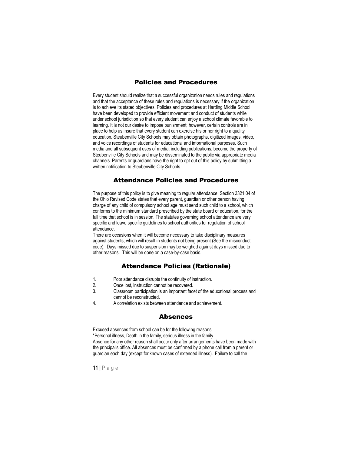## Policies and Procedures

<span id="page-11-0"></span>Every student should realize that a successful organization needs rules and regulations and that the acceptance of these rules and regulations is necessary if the organization is to achieve its stated objectives. Policies and procedures at Harding Middle School have been developed to provide efficient movement and conduct of students while under school jurisdiction so that every student can enjoy a school climate favorable to learning. It is not our desire to impose punishment; however, certain controls are in place to help us insure that every student can exercise his or her right to a quality education. Steubenville City Schools may obtain photographs, digitized images, video, and voice recordings of students for educational and informational purposes. Such media and all subsequent uses of media, including publications, become the property of Steubenville City Schools and may be disseminated to the public via appropriate media channels. Parents or guardians have the right to opt out of this policy by submitting a written notification to Steubenville City Schools.

## Attendance Policies and Procedures

<span id="page-11-1"></span>The purpose of this policy is to give meaning to regular attendance. Section 3321.04 of the Ohio Revised Code states that every parent, guardian or other person having charge of any child of compulsory school age must send such child to a school, which conforms to the minimum standard prescribed by the state board of education, for the full time that school is in session. The statutes governing school attendance are very specific and leave specific guidelines to school authorities for regulation of school attendance.

There are occasions when it will become necessary to take disciplinary measures against students, which will result in students not being present (See the misconduct code). Days missed due to suspension may be weighed against days missed due to other reasons. This will be done on a case-by-case basis.

## Attendance Policies (Rationale)

- <span id="page-11-2"></span>1. Poor attendance disrupts the continuity of instruction.
- 2. Once lost, instruction cannot be recovered.
- 3. Classroom participation is an important facet of the educational process and cannot be reconstructed.
- <span id="page-11-3"></span>4. A correlation exists between attendance and achievement.

#### Absences

Excused absences from school can be for the following reasons: \*Personal illness, Death in the family, serious illness in the family. Absence for any other reason shall occur only after arrangements have been made with the principal's office. All absences must be confirmed by a phone call from a parent or guardian each day (except for known cases of extended illness). Failure to call the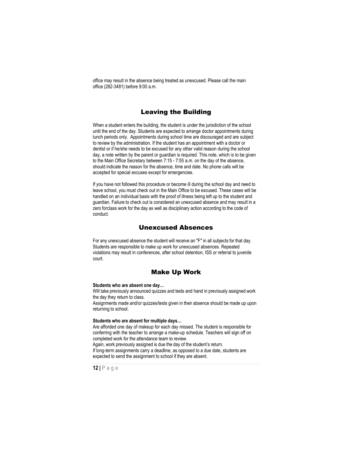office may result in the absence being treated as unexcused. Please call the main office (282-3481) before 9:00 a.m.

## Leaving the Building

<span id="page-12-0"></span>When a student enters the building, the student is under the jurisdiction of the school until the end of the day. Students are expected to arrange doctor appointments during lunch periods only. Appointments during school time are discouraged and are subject to review by the administration. If the student has an appointment with a doctor or dentist or if he/she needs to be excused for any other valid reason during the school day, a note written by the parent or guardian is required. This note, which is to be given to the Main Office Secretary between 7:15 - 7:55 a.m. on the day of the absence, should indicate the reason for the absence, time and date. No phone calls will be accepted for special excuses except for emergencies.

If you have not followed this procedure or become ill during the school day and need to leave school, you must check out in the Main Office to be excused. These cases will be handled on an individual basis with the proof of illness being left up to the student and guardian. Failure to check out is considered an unexcused absence and may result in a zero forclass work for the day as well as disciplinary action according to the code of conduct.

## Unexcused Absences

<span id="page-12-1"></span>For any unexcused absence the student will receive an "F" in all subjects for that day. Students are responsible to make up work for unexcused absences. Repeated violations may result in conferences, after school detention, ISS or referral to juvenile court.

## Make Up Work

#### <span id="page-12-3"></span><span id="page-12-2"></span>**Students who are absent one day…**

Will take previously announced quizzes and tests and hand in previously assigned work the day they return to class.

Assignments made and/or quizzes/tests given in their absence should be made up upon returning to school.

#### <span id="page-12-4"></span>**Students who are absent for multiple days…**

Are afforded one day of makeup for each day missed. The student is responsible for conferring with the teacher to arrange a make-up schedule. Teachers will sign off on completed work for the attendance team to review.

Again, work previously assigned is due the day of the student's return. If long-term assignments carry a deadline, as opposed to a due date, students are expected to send the assignment to school if they are absent.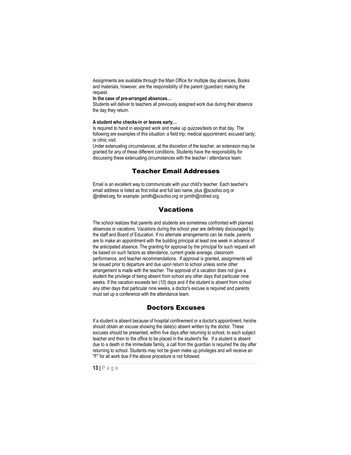Assignments are available through the Main Office for multiple day absences, Books and materials, however, are the responsibility of the parent (guardian) making the request.

#### <span id="page-13-0"></span>**In the case of pre-arranged absences…**

Students will deliver to teachers all previously assigned work due during their absence the day they return.

#### <span id="page-13-1"></span>**A student who checks-in or leaves early…**

Is required to hand in assigned work and make up quizzes/tests on that day. The following are examples of this situation: a field trip; medical appointment; excused tardy; or clinic visit.

Under extenuating circumstances, at the discretion of the teacher, an extension may be granted for any of these different conditions. Students have the responsibility for discussing these extenuating circumstances with the teacher / attendance team.

## Teacher Email Addresses

<span id="page-13-2"></span>Email is an excellent way to communicate with your child's teacher. Each teacher's email address is listed as first initial and full last name, plus @scsohio.org or @rollred.org, for example[: jsmith@scsohio.org](mailto:jsmith@scsohio.org) or jsmith@rollred.org.

## **Vacations**

<span id="page-13-3"></span>The school realizes that parents and students are sometimes confronted with planned absences or vacations. Vacations during the school year are definitely discouraged by the staff and Board of Education. If no alternate arrangements can be made, parents are to make an appointment with the building principal at least one week in advance of the anticipated absence. The granting for approval by the principal for such request will be based on such factors as attendance, current grade average, classroom performance, and teacher recommendations. If approval is granted, assignments will be issued prior to departure and due upon return to school unless some other arrangement is made with the teacher. The approval of a vacation does not give a student the privilege of being absent from school any other days that particular nine weeks. If the vacation exceeds ten (10) days and if the student is absent from school any other days that particular nine weeks, a doctor's excuse is required and parents must set up a conference with the attendance team.

## Doctors Excuses

<span id="page-13-4"></span>If a student is absent because of hospital confinement or a doctor's appointment, he/she should obtain an excuse showing the date(s) absent written by the doctor. These excuses should be presented, within five days after returning to school, to each subject teacher and then to the office to be placed in the student's file. If a student is absent due to a death in the immediate family, a call from the guardian is required the day after returning to school. Students may not be given make up privileges and will receive an "F" for all work due if the above procedure is not followed.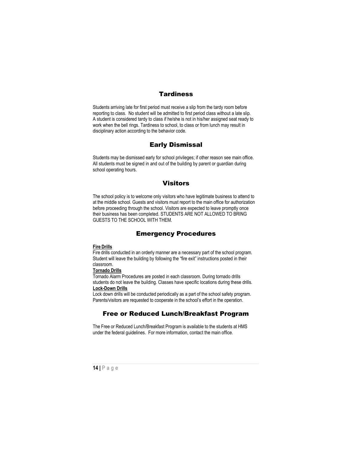## **Tardiness**

<span id="page-14-0"></span>Students arriving late for first period must receive a slip from the tardy room before reporting to class. No student will be admitted to first period class without a late slip. A student is considered tardy to class if he/she is not in his/her assigned seat ready to work when the bell rings. Tardiness to school, to class or from lunch may result in disciplinary action according to the behavior code.

## Early Dismissal

<span id="page-14-1"></span>Students may be dismissed early for school privileges; if other reason see main office. All students must be signed in and out of the building by parent or guardian during school operating hours.

## **Visitors**

<span id="page-14-2"></span>The school policy is to welcome only visitors who have legitimate business to attend to at the middle school. Guests and visitors must report to the main office for authorization before proceeding through the school. Visitors are expected to leave promptly once their business has been completed. STUDENTS ARE NOT ALLOWED TO BRING GUESTS TO THE SCHOOL WITH THEM.

## Emergency Procedures

#### <span id="page-14-4"></span><span id="page-14-3"></span>**Fire Drills**

Fire drills conducted in an orderly manner are a necessary part of the school program. Student will leave the building by following the "fire exit" instructions posted in their classroom.

## <span id="page-14-5"></span>**Tornado Drills**

Tornado Alarm Procedures are posted in each classroom. During tornado drills students do not leave the building. Classes have specific locations during these drills. **Lock-Down Drills**

<span id="page-14-6"></span>Lock down drills will be conducted periodically as a part of the school safety program. Parents/visitors are requested to cooperate in the school's effort in the operation.

## Free or Reduced Lunch/Breakfast Program

<span id="page-14-7"></span>The Free or Reduced Lunch/Breakfast Program is available to the students at HMS under the federal guidelines. For more information, contact the main office.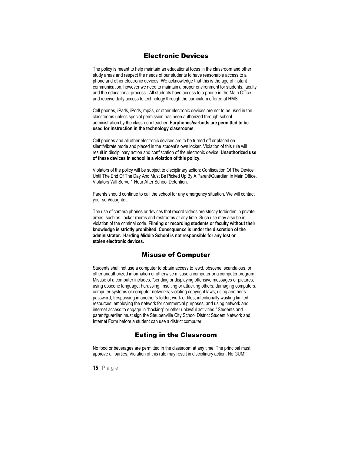## Electronic Devices

<span id="page-15-0"></span>The policy is meant to help maintain an educational focus in the classroom and other study areas and respect the needs of our students to have reasonable access to a phone and other electronic devices. We acknowledge that this is the age of instant communication, however we need to maintain a proper environment for students, faculty and the educational process. All students have access to a phone in the Main Office and receive daily access to technology through the curriculum offered at HMS.

Cell phones, iPads, iPods, mp3s, or other electronic devices are not to be used in the classrooms unless special permission has been authorized through school administration by the classroom teacher. **Earphones/earbuds are permitted to be used for instruction in the technology classrooms.** 

Cell phones and all other electronic devices are to be turned off or placed on silent/vibrate mode and placed in the student's own locker. Violation of this rule will result in disciplinary action and confiscation of the electronic device. **Unauthorized use of these devices in school is a violation of this policy.**

Violators of the policy will be subject to disciplinary action: Confiscation Of The Device Until The End Of The Day And Must Be Picked Up By A Parent/Guardian In Main Office. Violators Will Serve 1 Hour After School Detention.

Parents should continue to call the school for any emergency situation. We will contact your son/daughter.

The use of camera phones or devices that record videos are strictly forbidden in private areas, such as, locker rooms and restrooms at any time. Such use may also be in violation of the criminal code. **Filming or recording students or faculty without their knowledge is strictly prohibited. Consequence is under the discretion of the administrator. Harding Middle School is not responsible for any lost or stolen electronic devices.**

## Misuse of Computer

<span id="page-15-1"></span>Students shall not use a computer to obtain access to lewd, obscene, scandalous, or other unauthorized information or otherwise misuse a computer or a computer program. Misuse of a computer includes, "sending or displaying offensive messages or pictures; using obscene language; harassing, insulting or attacking others; damaging computers, computer systems or computer networks; violating copyright laws; using another's password; trespassing in another's folder, work or files; intentionally wasting limited resources; employing the network for commercial purposes; and using network and internet access to engage in "hacking" or other unlawful activities." Students and parent/guardian must sign the Steubenville City School District Student Network and Internet Form before a student can use a district computer.

## Eating in the Classroom

<span id="page-15-2"></span>No food or beverages are permitted in the classroom at any time. The principal must approve all parties. Violation of this rule may result in disciplinary action. No GUM!!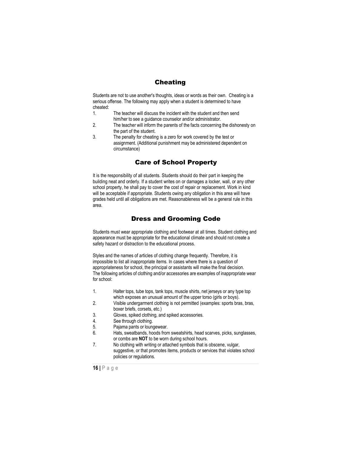## Cheating

<span id="page-16-0"></span>Students are not to use another's thoughts, ideas or words as their own. Cheating is a serious offense. The following may apply when a student is determined to have cheated:

- 1. The teacher will discuss the incident with the student and then send him/her to see a guidance counselor and/or administrator.
- 2. The teacher will inform the parents of the facts concerning the dishonesty on the part of the student.
- 3. The penalty for cheating is a zero for work covered by the test or assignment. (Additional punishment may be administered dependent on circumstance)

## Care of School Property

<span id="page-16-1"></span>It is the responsibility of all students. Students should do their part in keeping the building neat and orderly. If a student writes on or damages a locker, wall, or any other school property, he shall pay to cover the cost of repair or replacement. Work in kind will be acceptable if appropriate. Students owing any obligation in this area will have grades held until all obligations are met. Reasonableness will be a general rule in this area.

## Dress and Grooming Code

<span id="page-16-2"></span>Students must wear appropriate clothing and footwear at all times. Student clothing and appearance must be appropriate for the educational climate and should not create a safety hazard or distraction to the educational process.

Styles and the names of articles of clothing change frequently. Therefore, it is impossible to list all inappropriate items. In cases where there is a question of appropriateness for school, the principal or assistants will make the final decision. The following articles of clothing and/or accessories are examples of inappropriate wear for school:

- 1. Halter tops, tube tops, tank tops, muscle shirts, net jerseys or any type top which exposes an unusual amount of the upper torso (girls or boys).
- 2. Visible undergarment clothing is not permitted (examples: sports bras, bras, boxer briefs, corsets, etc.)
- 3. Gloves, spiked clothing, and spiked accessories.
- 
- 4. See through clothing.<br>5. Pajama pants or loun 5. Pajama pants or loungewear.<br>6 Hats sweathands hoods from
- Hats, sweatbands, hoods from sweatshirts, head scarves, picks, sunglasses, or combs are **NOT** to be worn during school hours.
- 7. No clothing with writing or attached symbols that is obscene, vulgar, suggestive, or that promotes items, products or services that violates school policies or regulations.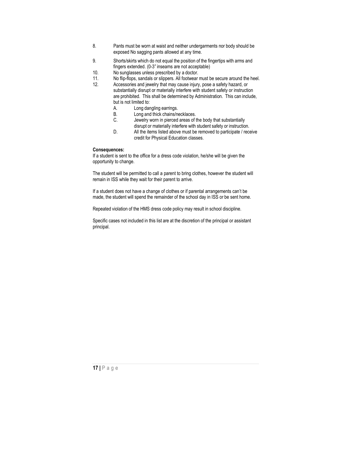- 8. Pants must be worn at waist and neither undergarments nor body should be exposed No sagging pants allowed at any time.
- 9. Shorts/skirts which do not equal the position of the fingertips with arms and fingers extended. (0-3" inseams are not acceptable)
- 
- 10. No sunglasses unless prescribed by a doctor.<br>11. No flip-flops, sandals or slippers. All footwear 11. No flip-flops, sandals or slippers. All footwear must be secure around the heel.<br>12. Accessories and jewelry that may cause injury pose a safety hazard, or
	- Accessories and jewelry that may cause injury, pose a safety hazard, or substantially disrupt or materially interfere with student safety or instruction are prohibited. This shall be determined by Administration. This can include,
		- but is not limited to:<br>A. Long dar A. Long dangling earrings.<br>B. Long and thick chains/n
		-
		- B. Long and thick chains/necklaces.<br>C. Sewelry worn in pierced areas of the set of Jewelry worn in pierced areas of the body that substantially disrupt or materially interfere with student safety or instruction.
		- D. All the items listed above must be removed to participate / receive credit for Physical Education classes.

#### **Consequences:**

If a student is sent to the office for a dress code violation, he/she will be given the opportunity to change.

The student will be permitted to call a parent to bring clothes, however the student will remain in ISS while they wait for their parent to arrive.

If a student does not have a change of clothes or if parental arrangements can't be made, the student will spend the remainder of the school day in ISS or be sent home.

Repeated violation of the HMS dress code policy may result in school discipline.

Specific cases not included in this list are at the discretion of the principal or assistant principal.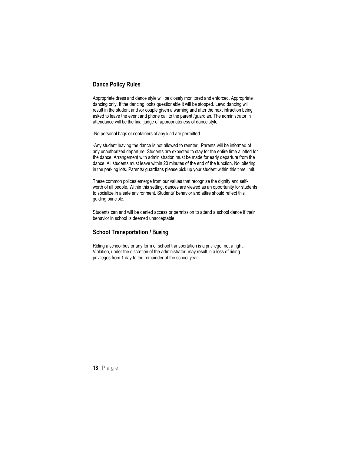## **Dance Policy Rules**

Appropriate dress and dance style will be closely monitored and enforced. Appropriate dancing only. If the dancing looks questionable it will be stopped. Lewd dancing will result in the student and /or couple given a warning and after the next infraction being asked to leave the event and phone call to the parent /guardian. The administrator in attendance will be the final judge of appropriateness of dance style.

-No personal bags or containers of any kind are permitted

-Any student leaving the dance is not allowed to reenter. Parents will be informed of any unauthorized departure. Students are expected to stay for the entire time allotted for the dance. Arrangement with administration must be made for early departure from the dance. All students must leave within 20 minutes of the end of the function. No loitering in the parking lots. Parents/ guardians please pick up your student within this time limit.

These common polices emerge from our values that recognize the dignity and selfworth of all people. Within this setting, dances are viewed as an opportunity for students to socialize in a safe environment. Students' behavior and attire should reflect this guiding principle.

<span id="page-18-0"></span>Students can and will be denied access or permission to attend a school dance if their behavior in school is deemed unacceptable.

## **School Transportation /** Busing

Riding a school bus or any form of school transportation is a privilege, not a right. Violation, under the discretion of the administrator, may result in a loss of riding privileges from 1 day to the remainder of the school year.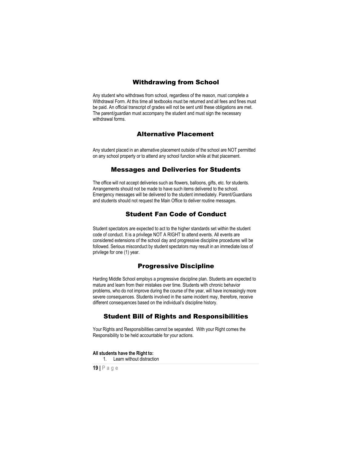## Withdrawing from School

<span id="page-19-0"></span>Any student who withdraws from school, regardless of the reason, must complete a Withdrawal Form. At this time all textbooks must be returned and all fees and fines must be paid. An official transcript of grades will not be sent until these obligations are met. The parent/guardian must accompany the student and must sign the necessary withdrawal forms.

## Alternative Placement

Any student placed in an alternative placement outside of the school are NOT permitted on any school property or to attend any school function while at that placement.

#### Messages and Deliveries for Students

<span id="page-19-1"></span>The office will not accept deliveries such as flowers, balloons, gifts, etc. for students. Arrangements should not be made to have such items delivered to the school. Emergency messages will be delivered to the student immediately. Parent/Guardians and students should not request the Main Office to deliver routine messages.

## Student Fan Code of Conduct

<span id="page-19-2"></span>Student spectators are expected to act to the higher standards set within the student code of conduct. It is a privilege NOT A RIGHT to attend events. All events are considered extensions of the school day and progressive discipline procedures will be followed. Serious misconduct by student spectators may result in an immediate loss of privilege for one (1) year.

## Progressive Discipline

<span id="page-19-3"></span>Harding Middle School employs a progressive discipline plan. Students are expected to mature and learn from their mistakes over time. Students with chronic behavior problems, who do not improve during the course of the year, will have increasingly more severe consequences. Students involved in the same incident may, therefore, receive different consequences based on the individual's discipline history.

## Student Bill of Rights and Responsibilities

<span id="page-19-4"></span>Your Rights and Responsibilities cannot be separated. With your Right comes the Responsibility to be held accountable for your actions.

<span id="page-19-5"></span>**All students have the Right to:**

1. Learn without distraction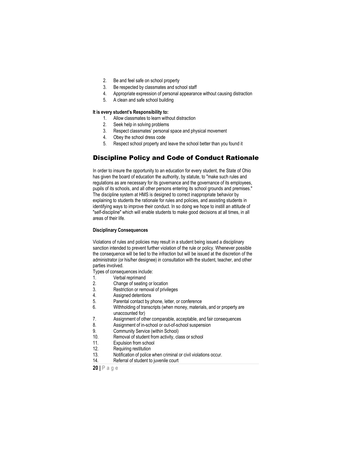- 2. Be and feel safe on school property
- 3. Be respected by classmates and school staff
- 4. Appropriate expression of personal appearance without causing distraction
- 5. A clean and safe school building

#### <span id="page-20-0"></span>**It is every student's Responsibility to:**

- 1. Allow classmates to learn without distraction
- 2. Seek help in solving problems
- 3. Respect classmates' personal space and physical movement
- 4. Obey the school dress code
- 5. Respect school property and leave the school better than you found it

## <span id="page-20-1"></span>Discipline Policy and Code of Conduct Rationale

In order to insure the opportunity to an education for every student, the State of Ohio has given the board of education the authority, by statute, to "make such rules and regulations as are necessary for its governance and the governance of its employees, pupils of its schools, and all other persons entering its school grounds and premises." The discipline system at HMS is designed to correct inappropriate behavior by explaining to students the rationale for rules and policies, and assisting students in identifying ways to improve their conduct. In so doing we hope to instill an attitude of "self-discipline" which will enable students to make good decisions at all times, in all areas of their life.

#### **Disciplinary Consequences**

Violations of rules and policies may result in a student being issued a disciplinary sanction intended to prevent further violation of the rule or policy. Whenever possible the consequence will be tied to the infraction but will be issued at the discretion of the administrator (or his/her designee) in consultation with the student, teacher, and other parties involved.

Types of consequences include:<br>1. Verbal reprimand

- Verbal reprimand
- 2. Change of seating or location
- 3. Restriction or removal of privileges<br>4. Assigned detentions
- 4. Assigned detentions<br>5. Parental contact by p
- 5. Parental contact by phone, letter, or conference<br>6. Withholding of transcripts (when money material
- Withholding of transcripts (when money, materials, and or property are
- unaccounted for)
- 7. Assignment of other comparable, acceptable, and fair consequences<br>8. Assignment of in-school or out-of-school suspension
- 8. Assignment of in-school or out-of-school suspension<br>9. Community Service (within School)
- 9. Community Service (within School)<br>10. Removal of student from activity. cl
- 10. Removal of student from activity, class or school
- Expulsion from school
- 12. Requiring restitution
- 13. Notification of police when criminal or civil violations occur.
- 14. Referral of student to juvenile court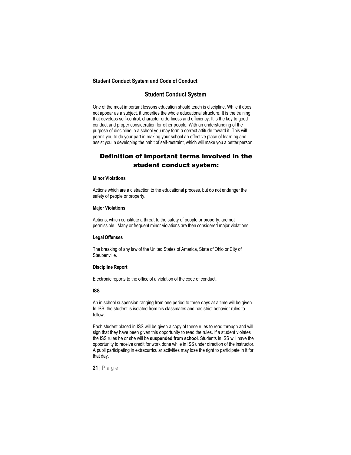#### **Student Conduct System and Code of Conduct**

## **Student Conduct System**

One of the most important lessons education should teach is discipline. While it does not appear as a subject, it underlies the whole educational structure. It is the training that develops self-control, character orderliness and efficiency. It is the key to good conduct and proper consideration for other people. With an understanding of the purpose of discipline in a school you may form a correct attitude toward it. This will permit you to do your part in making your school an effective place of learning and assist you in developing the habit of self-restraint, which will make you a better person.

## Definition of important terms involved in the student conduct system:

#### <span id="page-21-1"></span><span id="page-21-0"></span>**Minor Violations**

Actions which are a distraction to the educational process, but do not endanger the safety of people or property.

#### <span id="page-21-2"></span>**Major Violations**

Actions, which constitute a threat to the safety of people or property, are not permissible. Many or frequent minor violations are then considered major violations.

#### <span id="page-21-3"></span>**Legal Offenses**

The breaking of any law of the United States of America, State of Ohio or City of Steubenville.

#### <span id="page-21-4"></span>**Discipline Report**

Electronic reports to the office of a violation of the code of conduct.

#### <span id="page-21-5"></span>**ISS**

An in school suspension ranging from one period to three days at a time will be given. In ISS, the student is isolated from his classmates and has strict behavior rules to follow.

Each student placed in ISS will be given a copy of these rules to read through and will sign that they have been given this opportunity to read the rules. If a student violates the ISS rules he or she will be **suspended from school**. Students in ISS will have the opportunity to receive credit for work done while in ISS under direction of the instructor. A pupil participating in extracurricular activities may lose the right to participate in it for that day.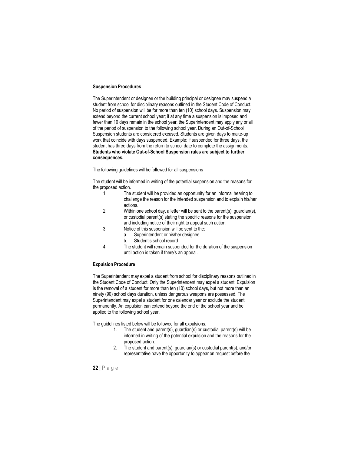#### <span id="page-22-0"></span>**Suspension Procedures**

The Superintendent or designee or the building principal or designee may suspend a student from school for disciplinary reasons outlined in the Student Code of Conduct. No period of suspension will be for more than ten (10) school days. Suspension may extend beyond the current school year; if at any time a suspension is imposed and fewer than 10 days remain in the school year, the Superintendent may apply any or all of the period of suspension to the following school year. During an Out-of-School Suspension students are considered excused. Students are given days to make-up work that coincide with days suspended. Example: if suspended for three days, the student has three days from the return to school date to complete the assignments. **Students who violate Out-of-School Suspension rules are subject to further consequences.**

The following guidelines will be followed for all suspensions

The student will be informed in writing of the potential suspension and the reasons for the proposed action.<br>1. The

- The student will be provided an opportunity for an informal hearing to challenge the reason for the intended suspension and to explain his/her actions.
- 2. Within one school day, a letter will be sent to the parent(s), guardian(s), or custodial parent(s) stating the specific reasons for the suspension and including notice of their right to appeal such action.
- 3. Notice of this suspension will be sent to the:
	- a. Superintendent or his/her designee
		- b. Student's school record
- 4. The student will remain suspended for the duration of the suspension until action is taken if there's an appeal.

#### <span id="page-22-1"></span>**Expulsion Procedure**

The Superintendent may expel a student from school for disciplinary reasons outlined in the Student Code of Conduct. Only the Superintendent may expel a student. Expulsion is the removal of a student for more than ten (10) school days, but not more than an ninety (90) school days duration, unless dangerous weapons are possessed. The Superintendent may expel a student for one calendar year or exclude the student permanently. An expulsion can extend beyond the end of the school year and be applied to the following school year.

The guidelines listed below will be followed for all expulsions:

- 1. The student and parent(s), guardian(s) or custodial parent(s) will be informed in writing of the potential expulsion and the reasons for the proposed action.
- 2. The student and parent(s), guardian(s) or custodial parent(s), and/or representative have the opportunity to appear on request before the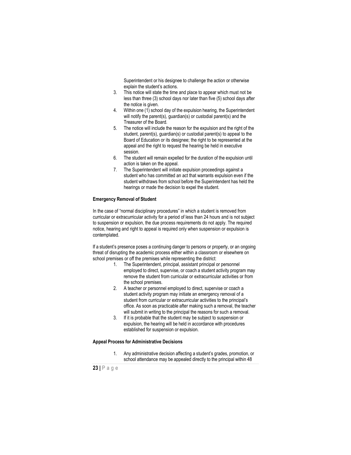Superintendent or his designee to challenge the action or otherwise explain the student's actions.

- 3. This notice will state the time and place to appear which must not be less than three (3) school days nor later than five (5) school days after the notice is given.
- 4. Within one (1) school day of the expulsion hearing, the Superintendent will notify the parent(s), guardian(s) or custodial parent(s) and the Treasurer of the Board.
- 5. The notice will include the reason for the expulsion and the right of the student, parent(s), guardian(s) or custodial parent(s) to appeal to the Board of Education or its designee; the right to be represented at the appeal and the right to request the hearing be held in executive session.
- 6. The student will remain expelled for the duration of the expulsion until action is taken on the appeal.
- 7. The Superintendent will initiate expulsion proceedings against a student who has committed an act that warrants expulsion even if the student withdraws from school before the Superintendent has held the hearings or made the decision to expel the student.

#### <span id="page-23-0"></span>**Emergency Removal of Student**

In the case of "normal disciplinary procedures" in which a student is removed from curricular or extracurricular activity for a period of less than 24 hours and is not subject to suspension or expulsion, the due process requirements do not apply. The required notice, hearing and right to appeal is required only when suspension or expulsion is contemplated.

If a student's presence poses a continuing danger to persons or property, or an ongoing threat of disrupting the academic process either within a classroom or elsewhere on school premises or off the premises while representing the district:

- 1. The Superintendent, principal, assistant principal or personnel employed to direct, supervise, or coach a student activity program may remove the student from curricular or extracurricular activities or from the school premises.
- 2. A teacher or personnel employed to direct, supervise or coach a student activity program may initiate an emergency removal of a student from curricular or extracurricular activities to the principal's office. As soon as practicable after making such a removal, the teacher will submit in writing to the principal the reasons for such a removal.
- 3. If it is probable that the student may be subject to suspension or expulsion, the hearing will be held in accordance with procedures established for suspension or expulsion.

#### <span id="page-23-1"></span>**Appeal Process for Administrative Decisions**

1. Any administrative decision affecting a student's grades, promotion, or school attendance may be appealed directly to the principal within 48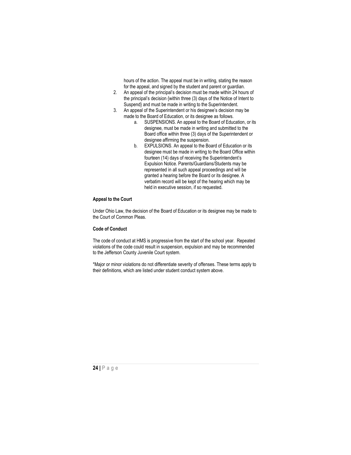hours of the action. The appeal must be in writing, stating the reason for the appeal, and signed by the student and parent or guardian.

- 2. An appeal of the principal's decision must be made within 24 hours of the principal's decision {within three (3) days of the Notice of Intent to Suspend} and must be made in writing to the Superintendent.
- 3. An appeal of the Superintendent or his designee's decision may be made to the Board of Education, or its designee as follows.
	- a. SUSPENSIONS. An appeal to the Board of Education, or its designee, must be made in writing and submitted to the Board office within three (3) days of the Superintendent or designee affirming the suspension.
	- b. EXPULSIONS. An appeal to the Board of Education or its designee must be made in writing to the Board Office within fourteen (14) days of receiving the Superintendent's Expulsion Notice. Parents/Guardians/Students may be represented in all such appeal proceedings and will be granted a hearing before the Board or its designee. A verbatim record will be kept of the hearing which may be held in executive session, if so requested.

#### <span id="page-24-0"></span>**Appeal to the Court**

Under Ohio Law, the decision of the Board of Education or its designee may be made to the Court of Common Pleas.

#### **Code of Conduct**

The code of conduct at HMS is progressive from the start of the school year. Repeated violations of the code could result in suspension, expulsion and may be recommended to the Jefferson County Juvenile Court system.

\*Major or minor violations do not differentiate severity of offenses. These terms apply to their definitions, which are listed under student conduct system above.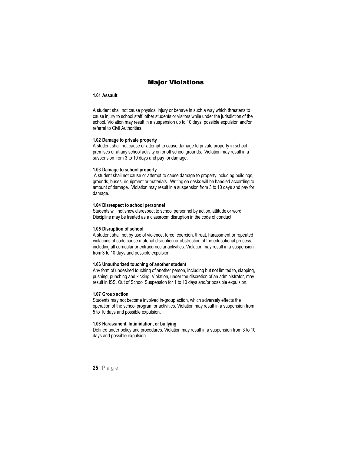## Major Violations

#### <span id="page-25-0"></span>**1.01 Assault**

A student shall not cause physical injury or behave in such a way which threatens to cause injury to school staff, other students or visitors while under the jurisdiction of the school. Violation may result in a suspension up to 10 days, possible expulsion and/or referral to Civil Authorities.

#### <span id="page-25-1"></span>**1.02 Damage to private property**

A student shall not cause or attempt to cause damage to private property in school premises or at any school activity on or off school grounds. Violation may result in a suspension from 3 to 10 days and pay for damage.

#### <span id="page-25-2"></span>**1.03 Damage to school property**

A student shall not cause or attempt to cause damage to property including buildings, grounds, buses, equipment or materials. Writing on desks will be handled according to amount of damage. Violation may result in a suspension from 3 to 10 days and pay for damage.

#### <span id="page-25-3"></span>**1.04 Disrespect to school personnel**

Students will not show disrespect to school personnel by action, attitude or word. Discipline may be treated as a classroom disruption in the code of conduct.

#### <span id="page-25-4"></span>**1.05 Disruption of school**

A student shall not by use of violence, force, coercion, threat, harassment or repeated violations of code cause material disruption or obstruction of the educational process, including all curricular or extracurricular activities. Violation may result in a suspension from 3 to 10 days and possible expulsion.

#### <span id="page-25-5"></span>**1.06 Unauthorized touching of another student**

Any form of undesired touching of another person, including but not limited to, slapping, pushing, punching and kicking. Violation, under the discretion of an administrator, may result in ISS, Out of School Suspension for 1 to 10 days and/or possible expulsion.

#### <span id="page-25-6"></span>**1.07 Group action**

Students may not become involved in-group action, which adversely effects the operation of the school program or activities. Violation may result in a suspension from 5 to 10 days and possible expulsion.

#### <span id="page-25-7"></span>**1.08 Harassment, Intimidation, or bullying**

Defined under policy and procedures. Violation may result in a suspension from 3 to 10 days and possible expulsion.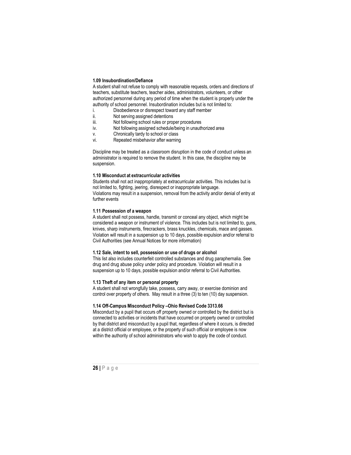#### <span id="page-26-0"></span>**1.09 Insubordination/Defiance**

A student shall not refuse to comply with reasonable requests, orders and directions of teachers, substitute teachers, teacher aides, administrators, volunteers, or other authorized personnel during any period of time when the student is properly under the authority of school personnel. Insubordination includes but is not limited to:

- i. Disobedience or disrespect toward any staff member<br>ii. Not serving assigned detentions
- ii. Not serving assigned detentions<br>iii Mot following school rules or pror
- iii. Not following school rules or proper procedures<br>iv. Not following assigned schedule/being in unauth
- Not following assigned schedule/being in unauthorized area
- v. Chronically tardy to school or class<br>vi. Repeated misbehavior after warning
- Repeated misbehavior after warning

Discipline may be treated as a classroom disruption in the code of conduct unless an administrator is required to remove the student. In this case, the discipline may be suspension.

#### <span id="page-26-1"></span>**1.10 Misconduct at extracurricular activities**

Students shall not act inappropriately at extracurricular activities. This includes but is not limited to, fighting, jeering, disrespect or inappropriate language. Violations may result in a suspension, removal from the activity and/or denial of entry at further events

#### <span id="page-26-2"></span>**1.11 Possession of a weapon**

A student shall not possess, handle, transmit or conceal any object, which might be considered a weapon or instrument of violence. This includes but is not limited to, guns, knives, sharp instruments, firecrackers, brass knuckles, chemicals, mace and gasses. Violation will result in a suspension up to 10 days, possible expulsion and/or referral to Civil Authorities (see Annual Notices for more information)

#### <span id="page-26-3"></span>**1.12 Sale, intent to sell, possession or use of drugs or alcohol**

This list also includes counterfeit controlled substances and drug paraphernalia. See drug and drug abuse policy under policy and procedure. Violation will result in a suspension up to 10 days, possible expulsion and/or referral to Civil Authorities.

#### <span id="page-26-4"></span>**1.13 Theft of any item or personal property**

A student shall not wrongfully take, possess, carry away, or exercise dominion and control over property of others. May result in a three (3) to ten (10) day suspension.

#### <span id="page-26-5"></span>**1.14 Off-Campus Misconduct Policy –Ohio Revised Code 3313.66**

Misconduct by a pupil that occurs off property owned or controlled by the district but is connected to activities or incidents that have occurred on property owned or controlled by that district and misconduct by a pupil that, regardless of where it occurs, is directed at a district official or employee, or the property of such official or employee is now within the authority of school administrators who wish to apply the code of conduct.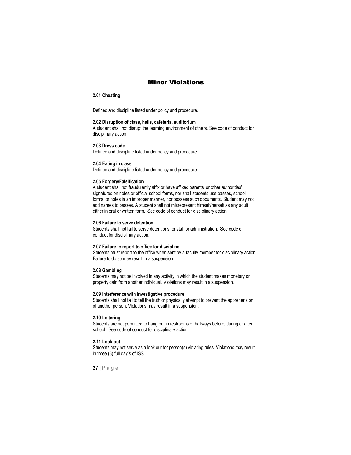## Minor Violations

#### <span id="page-27-0"></span>**2.01 Cheating**

Defined and discipline listed under policy and procedure.

#### <span id="page-27-1"></span>**2.02 Disruption of class, halls, cafeteria, auditorium**

A student shall not disrupt the learning environment of others. See code of conduct for disciplinary action.

#### <span id="page-27-2"></span>**2.03 Dress code**

Defined and discipline listed under policy and procedure.

#### <span id="page-27-3"></span>**2.04 Eating in class**

Defined and discipline listed under policy and procedure.

#### <span id="page-27-4"></span>**2.05 Forgery/Falsification**

A student shall not fraudulently affix or have affixed parents' or other authorities' signatures on notes or official school forms, nor shall students use passes, school forms, or notes in an improper manner, nor possess such documents. Student may not add names to passes. A student shall not misrepresent himself/herself as any adult either in oral or written form. See code of conduct for disciplinary action.

#### <span id="page-27-5"></span>**2.06 Failure to serve detention**

Students shall not fail to serve detentions for staff or administration. See code of conduct for disciplinary action.

#### <span id="page-27-6"></span>**2.07 Failure to report to office for discipline**

Students must report to the office when sent by a faculty member for disciplinary action. Failure to do so may result in a suspension.

## <span id="page-27-7"></span>**2.08 Gambling**

Students may not be involved in any activity in which the student makes monetary or property gain from another individual. Violations may result in a suspension.

#### <span id="page-27-8"></span>**2.09 Interference with investigative procedure**

Students shall not fail to tell the truth or physically attempt to prevent the apprehension of another person. Violations may result in a suspension.

## <span id="page-27-9"></span>**2.10 Loitering**

Students are not permitted to hang out in restrooms or hallways before, during or after school. See code of conduct for disciplinary action.

#### <span id="page-27-10"></span>**2.11 Look out**

Students may not serve as a look out for person(s) violating rules. Violations may result in three (3) full day's of ISS.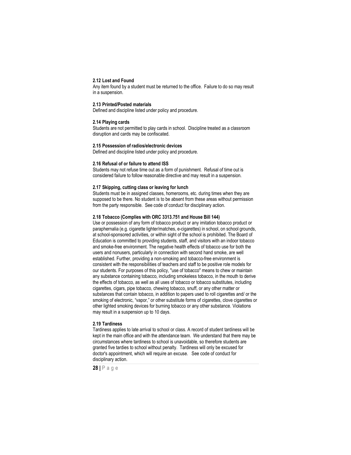#### <span id="page-28-0"></span>**2.12 Lost and Found**

Any item found by a student must be returned to the office. Failure to do so may result in a suspension.

#### <span id="page-28-1"></span>**2.13 Printed/Posted materials**

Defined and discipline listed under policy and procedure.

#### <span id="page-28-2"></span>**2.14 Playing cards**

Students are not permitted to play cards in school. Discipline treated as a classroom disruption and cards may be confiscated.

#### <span id="page-28-3"></span>**2.15 Possession of radios/electronic devices**

Defined and discipline listed under policy and procedure.

#### <span id="page-28-4"></span>**2.16 Refusal of or failure to attend ISS**

Students may not refuse time out as a form of punishment. Refusal of time out is considered failure to follow reasonable directive and may result in a suspension.

#### <span id="page-28-5"></span>**2.17 Skipping, cutting class or leaving for lunch**

Students must be in assigned classes, homerooms, etc. during times when they are supposed to be there. No student is to be absent from these areas without permission from the party responsible. See code of conduct for disciplinary action.

#### <span id="page-28-6"></span>**2.18 Tobacco (Complies with ORC 3313.751 and House Bill 144)**

Use or possession of any form of tobacco product or any imitation tobacco product or paraphernalia (e.g. cigarette lighter/matches, e-cigarettes) in school, on school grounds, at school-sponsored activities, or within sight of the school is prohibited. The Board of Education is committed to providing students, staff, and visitors with an indoor tobacco and smoke-free environment. The negative health effects of tobacco use for both the users and nonusers, particularly in connection with second hand smoke, are well established. Further, providing a non-smoking and tobacco-free environment is consistent with the responsibilities of teachers and staff to be positive role models for our students. For purposes of this policy, "use of tobacco" means to chew or maintain any substance containing tobacco, including smokeless tobacco, in the mouth to derive the effects of tobacco, as well as all uses of tobacco or tobacco substitutes, including cigarettes, cigars, pipe tobacco, chewing tobacco, snuff, or any other matter or substances that contain tobacco, in addition to papers used to roll cigarettes and/ or the smoking of electronic, "vapor," or other substitute forms of cigarettes, clove cigarettes or other lighted smoking devices for burning tobacco or any other substance. Violations may result in a suspension up to 10 days.

#### <span id="page-28-7"></span>**2.19 Tardiness**

Tardiness applies to late arrival to school or class. A record of student tardiness will be kept in the main office and with the attendance team. We understand that there may be circumstances where tardiness to school is unavoidable, so therefore students are granted five tardies to school without penalty. Tardiness will only be excused for doctor's appointment, which will require an excuse. See code of conduct for disciplinary action.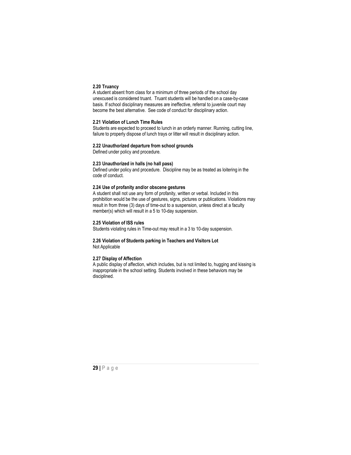#### <span id="page-29-0"></span>**2.20 Truancy**

A student absent from class for a minimum of three periods of the school day unexcused is considered truant. Truant students will be handled on a case-by-case basis. If school disciplinary measures are ineffective, referral to juvenile court may become the best alternative. See code of conduct for disciplinary action.

#### <span id="page-29-1"></span>**2.21 Violation of Lunch Time Rules**

Students are expected to proceed to lunch in an orderly manner. Running, cutting line, failure to properly dispose of lunch trays or litter will result in disciplinary action.

#### **2.22 Unauthorized departure from school grounds**

<span id="page-29-2"></span>Defined under policy and procedure.

### <span id="page-29-3"></span>**2.23 Unauthorized in halls (no hall pass)**

Defined under policy and procedure. Discipline may be as treated as loitering in the code of conduct.

#### <span id="page-29-4"></span>**2.24 Use of profanity and/or obscene gestures**

A student shall not use any form of profanity, written or verbal. Included in this prohibition would be the use of gestures, signs, pictures or publications. Violations may result in from three (3) days of time-out to a suspension, unless direct at a faculty member(s) which will result in a 5 to 10-day suspension.

#### <span id="page-29-5"></span>**2.25 Violation of ISS rules**

Students violating rules in Time-out may result in a 3 to 10-day suspension.

#### <span id="page-29-6"></span>**2.26 Violation of Students parking in Teachers and Visitors Lot** Not Applicable

#### <span id="page-29-7"></span>**2.27 Display of Affection**

A public display of affection, which includes, but is not limited to, hugging and kissing is inappropriate in the school setting. Students involved in these behaviors may be disciplined.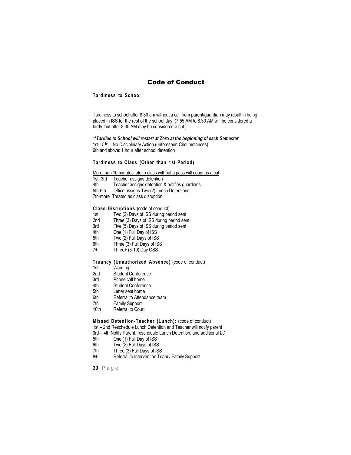## Code of Conduct

#### <span id="page-30-0"></span>**Tardiness to School**

Tardiness to school after 8:30 am without a call from parent/guardian may result in being placed in ISS for the rest of the school day. (7:55 AM to 8:30 AM will be considered a tardy, but after 8:30 AM may be considered a cut.)

#### *\*\*Tardies to School will restart at Zero at the beginning of each Semester.*

1st - 5<sup>th</sup>: No Disciplinary Action (unforeseen Circumstances) 6th and above: 1 hour after school detention

## **Tardiness to Class (Other than 1st Period)**

More than 10 minutes late to class without a pass will count as a cut

1st -3rd Teacher assigns detention 4th Teacher assigns detention & notifies guardians.<br>5th-6th Office assigns Two (2) Lunch Detentions Office assigns Two (2) Lunch Detentions 7th-more Treated as class disruption

# <span id="page-30-1"></span>**Class Disruptions** (code of conduct)<br>1st Two (2) Days of ISS during per

- 1st Two (2) Days of ISS during period sent<br>2nd Three (3) Days of ISS during period ser
- 2nd Three (3) Days of ISS during period sent<br>3rd Five (5) Days of ISS during period sent
- 3rd Five (5) Days of ISS during period sent<br>4th One (1) Full Day of ISS
- 4th One (1) Full Day of ISS<br>5th Two (2) Full Davs of ISS
- 5th Two (2) Full Days of ISS<br>6th Three (3) Full Days of IS
- Three (3) Full Days of ISS
- 7+ Three+ (3-10) Day OSS

# <span id="page-30-2"></span>**Truancy (Unauthorized Absence)** (code of conduct)

- 1st Warning<br>2nd Student C
- 2nd Student Conference<br>3rd Phone call home
- 3rd Phone call home<br>4th Student Conferer
- 4th Student Conference<br>5th Letter sent home
- 5th Letter sent home<br>6th Referral to Attend
- Referral to Attendance team
- 7th Family Support
- 10th Referral to Court

## <span id="page-30-3"></span>**Missed Detention-Teacher (Lunch):** (code of conduct)

1st – 2nd Reschedule Lunch Detention and Teacher will notify parent

- 3rd 4th Notify Parent, reschedule Lunch Detention, and additional LD<br>5th (2006) One (1) Full Day of ISS
- 5th One (1) Full Day of ISS<br>6th Two (2) Full Days of ISS
- 6th Two (2) Full Days of ISS<br>7th Three (3) Full Days of IS
- Three (3) Full Days of ISS
- 8+ Referral to Intervention Team / Family Support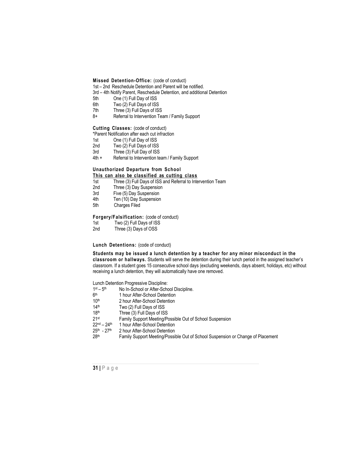**Missed Detention-Office:** (code of conduct)

1st – 2nd Reschedule Detention and Parent will be notified.

- <span id="page-31-0"></span>3rd – 4th Notify Parent, Reschedule Detention, and additional Detention
- 5th One (1) Full Day of ISS<br>6th Two (2) Full Days of ISS
- Two (2) Full Days of ISS
- 7th Three (3) Full Days of ISS<br>8+ Referral to Intervention Te
- Referral to Intervention Team / Family Support

<span id="page-31-1"></span>**Cutting Classes:** (code of conduct)

\*Parent Notification after each cut infraction<br>1st One (1) Full Day of ISS

- 1st One (1) Full Day of ISS<br>2nd Two (2) Full Days of ISS
- $Two (2)$  Full Days of ISS
- 3rd Three (3) Full Day of ISS<br>4th + Referral to Intervention te
- Referral to Intervention team / Family Support

## <span id="page-31-2"></span>**Unauthorized Departure from School**

## **This can also be classified as cutting class**

- 1st Three (3) Full Days of ISS and Referral to Intervention Team
- 2nd Three (3) Day Suspension<br>3rd Five (5) Day Suspension
- 3rd Five (5) Day Suspension<br>4th Ten (10) Day Suspension
- 4th Ten (10) Day Suspension<br>5th Charges Filed
- Charges Filed

# **Forgery/Falsification:** (code of conduct)

- 1st Two (2) Full Days of ISS<br>2nd Three (3) Days of OSS
- Three (3) Days of OSS

#### **Lunch Detentions:** (code of conduct)

**Students may be issued a lunch detention by a teacher for any minor misconduct in the classroom or hallways.** Students will serve the detention during their lunch period in the assigned teacher's classroom. If a student goes 15 consecutive school days (excluding weekends, days absent, holidays, etc) without receiving a lunch detention, they will automatically have one removed.

Lunch Detention Progressive Discipline:<br> $1<sup>st</sup> - 5<sup>th</sup>$  No In-School or After-Scho

- $1st 5th$  No In-School or After-School Discipline.<br> $6th$  1 hour After-School Detention
- $6<sup>th</sup>$  1 hour After-School Detention<br>10<sup>th</sup> 2 hour After-School Detention
- $10^{th}$  2 hour After-School Detention<br> $14^{th}$  Two (2) Full Days of ISS
- $14<sup>th</sup>$  Two (2) Full Days of ISS<br> $18<sup>th</sup>$  Three (3) Full Days of IS
- $18<sup>th</sup>$  Three (3) Full Days of ISS<br>21<sup>st</sup> Family Support Meeting/P
- 21st Family Support Meeting/Possible Out of School Suspension<br>22<sup>nd</sup> 24<sup>th</sup> 1 hour After-School Detention
- $22^{nd} 24^{th}$  1 hour After-School Detention<br> $25^{th}$   $27^{th}$  2 hour After-School Detention
- $25<sup>th</sup>$  27<sup>th</sup> 2 hour After-School Detention<br>28<sup>th</sup> Family Support Meeting/Possi
- Family Support Meeting/Possible Out of School Suspension or Change of Placement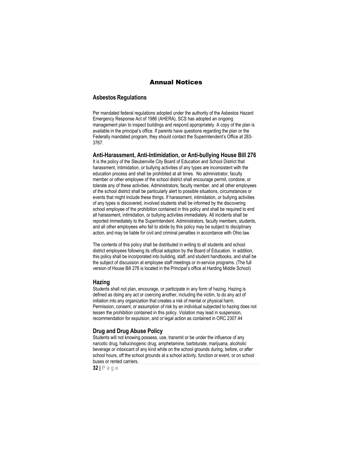## Annual Notices

#### <span id="page-32-0"></span>**Asbestos Regulations**

Per mandated federal regulations adopted under the authority of the Asbestos Hazard Emergency Response Act of 1986 (AHERA), SCS has adopted an ongoing management plan to inspect buildings and respond appropriately. A copy of the plan is available in the principal's office. If parents have questions regarding the plan or the Federally mandated program, they should contact the Superintendent's Office at 283- 3767.

#### <span id="page-32-1"></span>**Anti-Harassment, Anti-Intimidation, or Anti-bullying House Bill 276**

It is the policy of the Steubenville City Board of Education and School District that harassment, intimidation, or bullying activities of any types are inconsistent with the education process and shall be prohibited at all times. No administrator, faculty member or other employee of the school district shall encourage permit, condone, or tolerate any of these activities. Administrators, faculty member, and all other employees of the school district shall be particularly alert to possible situations, circumstances or events that might include these things. If harassment, intimidation, or bullying activities of any types is discovered, involved students shall be informed by the discovering school employee of the prohibition contained in this policy and shall be required to end all harassment, intimidation, or bullying activities immediately. All incidents shall be reported immediately to the Superintendent. Administrators, faculty members, students, and all other employees who fail to abide by this policy may be subject to disciplinary action, and may be liable for civil and criminal penalties in accordance with Ohio law.

The contents of this policy shall be distributed in writing to all students and school district employees following its official adoption by the Board of Education. In addition, this policy shall be incorporated into building, staff, and student handbooks, and shall be the subject of discussion at employee staff meetings or in-service programs. (The full version of House Bill 276 is located in the Principal's office at Harding Middle School)

#### **Hazing**

Students shall not plan, encourage, or participate in any form of hazing. Hazing is defined as doing any act or coercing another, including the victim, to do any act of initiation into any organization that creates a risk of mental or physical harm. Permission, consent, or assumption of risk by an individual subjected to hazing does not lessen the prohibition contained in this policy. Violation may lead in suspension, recommendation for expulsion, and or legal action as contained in ORC 2307.44

#### <span id="page-32-2"></span>**Drug and Drug Abuse Policy**

Students will not knowing possess, use, transmit or be under the influence of any narcotic drug, hallucinogenic drug, amphetamine, barbiturate, marijuana, alcoholic beverage or intoxicant of any kind while on the school grounds during, before, or after school hours, off the school grounds at a school activity, function or event, or on school buses or rented carriers.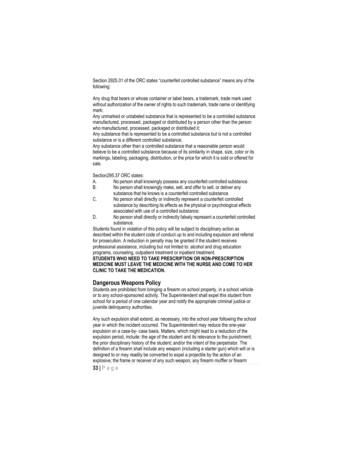Section 2925.01 of the ORC states "counterfeit controlled substance" means any of the following:

Any drug that bears or whose container or label bears, a trademark, trade mark used without authorization of the owner of rights to such trademark, trade name or identifying mark;

Any unmarked or unlabeled substance that is represented to be a controlled substance manufactured, processed, packaged or distributed by a person other than the person who manufactured, processed, packaged or distributed it;

Any substance that is represented to be a controlled substance but is not a controlled substance or is a different controlled substance;

Any substance other than a controlled substance that a reasonable person would believe to be a controlled substance because of its similarity in shape, size, color or its markings, labeling, packaging, distribution, or the price for which it is sold or offered for sale.

Section295.37 ORC states:

- A. No person shall knowingly possess any counterfeit controlled substance.
- B. No person shall knowingly make, sell, and offer to sell, or deliver any substance that he knows is a counterfeit controlled substance.
- C. No person shall directly or indirectly represent a counterfeit controlled substance by describing its effects as the physical or psychological effects associated with use of a controlled substance.
- D. No person shall directly or indirectly falsely represent a counterfeit controlled substance.

Students found in violation of this policy will be subject to disciplinary action as described within the student code of conduct up to and including expulsion and referral for prosecution. A reduction in penalty may be granted if the student receives professional assistance, including but not limited to: alcohol and drug education programs, counseling, outpatient treatment or inpatient treatment.

**STUDENTS WHO NEED TO TAKE PRESCRIPTION OR NON-PRESCRIPTION MEDICINE MUST LEAVE THE MEDICINE WITH THE NURSE AND COME TO HER CLINIC TO TAKE THE MEDICATION.**

## <span id="page-33-0"></span>**Dangerous Weapons Policy**

Students are prohibited from bringing a firearm on school property, in a school vehicle or to any school-sponsored activity. The Superintendent shall expel this student from school for a period of one calendar year and notify the appropriate criminal justice or juvenile delinquency authorities.

Any such expulsion shall extend, as necessary, into the school year following the school year in which the incident occurred. The Superintendent may reduce the one-year expulsion on a case-by- case basis. Matters, which might lead to a reduction of the expulsion period, include: the age of the student and its relevance to the punishment; the prior disciplinary history of the student; and/or the intent of the perpetrator. The definition of a firearm shall include any weapon (including a starter gun) which will or is designed to or may readily be converted to expel a projectile by the action of an explosive; the frame or receiver of any such weapon; any firearm muffler or firearm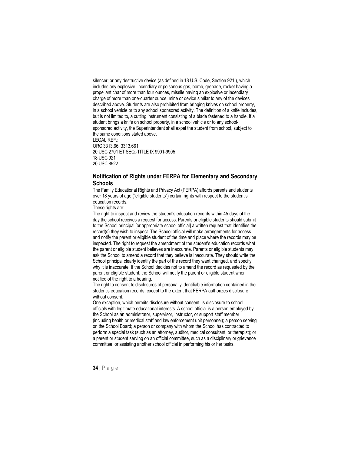silencer; or any destructive device (as defined in 18 U.S. Code, Section 921.), which includes any explosive, incendiary or poisonous gas, bomb, grenade, rocket having a propellant char of more than four ounces, missile having an explosive or incendiary charge of more than one-quarter ounce, mine or device similar to any of the devices described above. Students are also prohibited from bringing knives on school property, in a school vehicle or to any school sponsored activity. The definition of a knife includes, but is not limited to, a cutting instrument consisting of a blade fastened to a handle. If a student brings a knife on school property, in a school vehicle or to any schoolsponsored activity, the Superintendent shall expel the student from school, subject to the same conditions stated above. LEGAL REF.:

ORC 3313.66. 3313.661 20 USC 2701 ET SEQ.-TITLE IX 9901-9905 18 USC 921 20 USC 8922

## <span id="page-34-0"></span>**Notification of Rights under FERPA for Elementary and Secondary Schools**

The Family Educational Rights and Privacy Act (PERPA) affords parents and students over 18 years of age ("eligible students") certain rights with respect to the student's education records.

These rights are:

The right to inspect and review the student's education records within 45 days of the day the school receives a request for access. Parents or eligible students should submit to the School principal [or appropriate school official] a written request that identifies the record(s) they wish to inspect. The School official will make arrangements for access and notify the parent or eligible student of the time and place where the records may be inspected. The right to request the amendment of the student's education records what the parent or eligible student believes are inaccurate. Parents or eligible students may ask the School to amend a record that they believe is inaccurate. They should write the School principal clearly identify the part of the record they want changed, and specify why it is inaccurate. If the School decides not to amend the record as requested by the parent or eligible student, the School will notify the parent or eligible student when notified of the right to a hearing.

The right to consent to disclosures of personally identifiable information contained in the student's education records, except to the extent that FERPA authorizes disclosure without consent.

One exception, which permits disclosure without consent, is disclosure to school officials with legitimate educational interests. A school official is a person employed by the School as an administrator, supervisor, instructor, or support staff member (including health or medical staff and law enforcement unit personnel); a person serving on the School Board; a person or company with whom the School has contracted to perform a special task (such as an attorney, auditor, medical consultant, or therapist); or a parent or student serving on an official committee, such as a disciplinary or grievance committee, or assisting another school official in performing his or her tasks.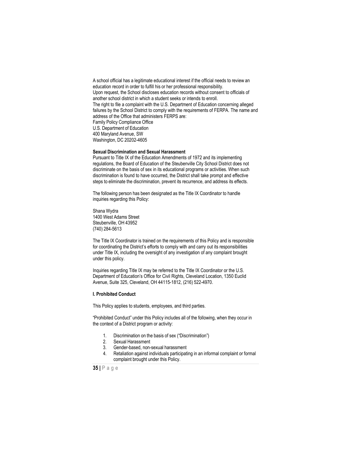A school official has a legitimate educational interest if the official needs to review an education record in order to fulfill his or her professional responsibility. Upon request, the School discloses education records without consent to officials of another school district in which a student seeks or intends to enroll. The right to file a complaint with the U.S. Department of Education concerning alleged failures by the School District to comply with the requirements of FERPA. The name and address of the Office that administers FERPS are: Family Policy Compliance Office U.S. Department of Education 400 Maryland Avenue, SW Washington, DC 20202-4605

#### <span id="page-35-0"></span>**Sexual Discrimination and Sexual Harassment**

Pursuant to Title IX of the Education Amendments of 1972 and its implementing regulations, the Board of Education of the Steubenville City School District does not discriminate on the basis of sex in its educational programs or activities. When such discrimination is found to have occurred, the District shall take prompt and effective steps to eliminate the discrimination, prevent its recurrence, and address its effects.

The following person has been designated as the Title IX Coordinator to handle inquiries regarding this Policy:

Shana Wydra 1400 West Adams Street Steubenville, OH 43952 (740) 284-5613

The Title IX Coordinator is trained on the requirements of this Policy and is responsible for coordinating the District's efforts to comply with and carry out its responsibilities under Title IX, including the oversight of any investigation of any complaint brought under this policy.

Inquiries regarding Title IX may be referred to the Title IX Coordinator or the U.S. Department of Education's Office for Civil Rights, Cleveland Location, 1350 Euclid Avenue, Suite 325, Cleveland, OH 44115-1812, (216) 522-4970.

#### **I. Prohibited Conduct**

This Policy applies to students, employees, and third parties.

"Prohibited Conduct" under this Policy includes all of the following, when they occur in the context of a District program or activity:

- 1. Discrimination on the basis of sex ("Discrimination")
- 2. Sexual Harassment
- 3. Gender-based, non-sexual harassment
- 4. Retaliation against individuals participating in an informal complaint or formal complaint brought under this Policy.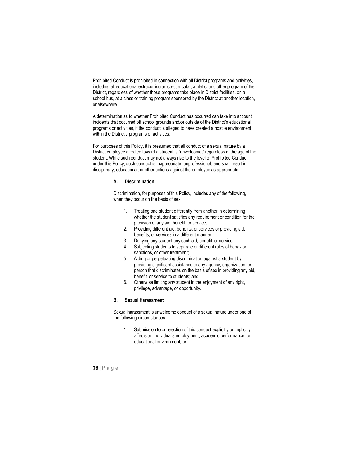Prohibited Conduct is prohibited in connection with all District programs and activities, including all educational extracurricular, co-curricular, athletic, and other program of the District, regardless of whether those programs take place in District facilities, on a school bus, at a class or training program sponsored by the District at another location, or elsewhere.

A determination as to whether Prohibited Conduct has occurred can take into account incidents that occurred off school grounds and/or outside of the District's educational programs or activities, if the conduct is alleged to have created a hostile environment within the District's programs or activities.

For purposes of this Policy, it is presumed that all conduct of a sexual nature by a District employee directed toward a student is "unwelcome," regardless of the age of the student. While such conduct may not always rise to the level of Prohibited Conduct under this Policy, such conduct is inappropriate, unprofessional, and shall result in disciplinary, educational, or other actions against the employee as appropriate.

#### **A. Discrimination**

Discrimination, for purposes of this Policy, includes any of the following, when they occur on the basis of sex:

- 1. Treating one student differently from another in determining whether the student satisfies any requirement or condition for the provision of any aid, benefit, or service;
- 2. Providing different aid, benefits, or services or providing aid, benefits, or services in a different manner;
- 3. Denying any student any such aid, benefit, or service;
- 4. Subjecting students to separate or different rules of behavior, sanctions, or other treatment;
- 5. Aiding or perpetuating discrimination against a student by providing significant assistance to any agency, organization, or person that discriminates on the basis of sex in providing any aid, benefit, or service to students; and
- 6. Otherwise limiting any student in the enjoyment of any right, privilege, advantage, or opportunity.

#### **B. Sexual Harassment**

Sexual harassment is unwelcome conduct of a sexual nature under one of the following circumstances:

1. Submission to or rejection of this conduct explicitly or implicitly affects an individual's employment, academic performance, or educational environment; or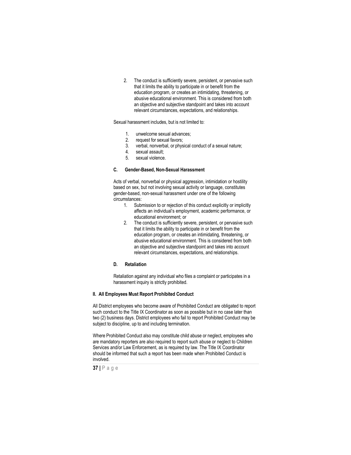2. The conduct is sufficiently severe, persistent, or pervasive such that it limits the ability to participate in or benefit from the education program, or creates an intimidating, threatening, or abusive educational environment. This is considered from both an objective and subjective standpoint and takes into account relevant circumstances, expectations, and relationships.

#### Sexual harassment includes, but is not limited to:

- 1. unwelcome sexual advances;<br>2. request for sexual favors:
- request for sexual favors:
- 3. verbal, nonverbal, or physical conduct of a sexual nature;
- 4. sexual assault;
- 5. sexual violence.

#### **C. Gender-Based, Non-Sexual Harassment**

Acts of verbal, nonverbal or physical aggression, intimidation or hostility based on sex, but not involving sexual activity or language, constitutes gender-based, non-sexual harassment under one of the following circumstances:

- 1. Submission to or rejection of this conduct explicitly or implicitly affects an individual's employment, academic performance, or educational environment; or
- 2. The conduct is sufficiently severe, persistent, or pervasive such that it limits the ability to participate in or benefit from the education program, or creates an intimidating, threatening, or abusive educational environment. This is considered from both an objective and subjective standpoint and takes into account relevant circumstances, expectations, and relationships.

#### **D. Retaliation**

Retaliation against any individual who files a complaint or participates in a harassment inquiry is strictly prohibited.

#### **II. All Employees Must Report Prohibited Conduct**

All District employees who become aware of Prohibited Conduct are obligated to report such conduct to the Title IX Coordinator as soon as possible but in no case later than two (2) business days. District employees who fail to report Prohibited Conduct may be subject to discipline, up to and including termination.

Where Prohibited Conduct also may constitute child abuse or neglect, employees who are mandatory reporters are also required to report such abuse or neglect to Children Services and/or Law Enforcement, as is required by law. The Title IX Coordinator should be informed that such a report has been made when Prohibited Conduct is involved.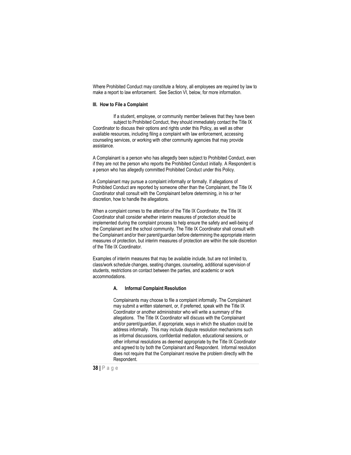Where Prohibited Conduct may constitute a felony, all employees are required by law to make a report to law enforcement. See Section VI, below, for more information.

#### **III. How to File a Complaint**

If a student, employee, or community member believes that they have been subject to Prohibited Conduct, they should immediately contact the Title IX Coordinator to discuss their options and rights under this Policy, as well as other available resources, including filing a complaint with law enforcement, accessing counseling services, or working with other community agencies that may provide assistance.

A Complainant is a person who has allegedly been subject to Prohibited Conduct, even if they are not the person who reports the Prohibited Conduct initially. A Respondent is a person who has allegedly committed Prohibited Conduct under this Policy.

A Complainant may pursue a complaint informally or formally. If allegations of Prohibited Conduct are reported by someone other than the Complainant, the Title IX Coordinator shall consult with the Complainant before determining, in his or her discretion, how to handle the allegations.

When a complaint comes to the attention of the Title IX Coordinator, the Title IX Coordinator shall consider whether interim measures of protection should be implemented during the complaint process to help ensure the safety and well-being of the Complainant and the school community. The Title IX Coordinator shall consult with the Complainant and/or their parent/guardian before determining the appropriate interim measures of protection, but interim measures of protection are within the sole discretion of the Title IX Coordinator.

Examples of interim measures that may be available include, but are not limited to, class/work schedule changes, seating changes, counseling, additional supervision of students, restrictions on contact between the parties, and academic or work accommodations.

#### **A. Informal Complaint Resolution**

Complainants may choose to file a complaint informally. The Complainant may submit a written statement, or, if preferred, speak with the Title IX Coordinator or another administrator who will write a summary of the allegations. The Title IX Coordinator will discuss with the Complainant and/or parent/guardian, if appropriate, ways in which the situation could be address informally. This may include dispute resolution mechanisms such as informal discussions, confidential mediation, educational sessions, or other informal resolutions as deemed appropriate by the Title IX Coordinator and agreed to by both the Complainant and Respondent. Informal resolution does not require that the Complainant resolve the problem directly with the Respondent.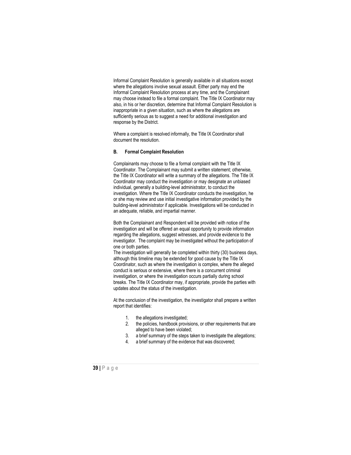Informal Complaint Resolution is generally available in all situations except where the allegations involve sexual assault. Either party may end the Informal Complaint Resolution process at any time, and the Complainant may choose instead to file a formal complaint. The Title IX Coordinator may also, in his or her discretion, determine that Informal Complaint Resolution is inappropriate in a given situation, such as where the allegations are sufficiently serious as to suggest a need for additional investigation and response by the District.

Where a complaint is resolved informally, the Title IX Coordinator shall document the resolution.

#### **B. Formal Complaint Resolution**

Complainants may choose to file a formal complaint with the Title IX Coordinator. The Complainant may submit a written statement; otherwise, the Title IX Coordinator will write a summary of the allegations. The Title IX Coordinator may conduct the investigation or may designate an unbiased individual, generally a building-level administrator, to conduct the investigation. Where the Title IX Coordinator conducts the investigation, he or she may review and use initial investigative information provided by the building-level administrator if applicable. Investigations will be conducted in an adequate, reliable, and impartial manner.

Both the Complainant and Respondent will be provided with notice of the investigation and will be offered an equal opportunity to provide information regarding the allegations, suggest witnesses, and provide evidence to the investigator. The complaint may be investigated without the participation of one or both parties.

The investigation will generally be completed within thirty (30) business days, although this timeline may be extended for good cause by the Title IX Coordinator, such as where the investigation is complex, where the alleged conduct is serious or extensive, where there is a concurrent criminal investigation, or where the investigation occurs partially during school breaks. The Title IX Coordinator may, if appropriate, provide the parties with updates about the status of the investigation.

At the conclusion of the investigation, the investigator shall prepare a written report that identifies:

- 1. the allegations investigated;
- 2. the policies, handbook provisions, or other requirements that are alleged to have been violated;
- 3. a brief summary of the steps taken to investigate the allegations;
- 4. a brief summary of the evidence that was discovered;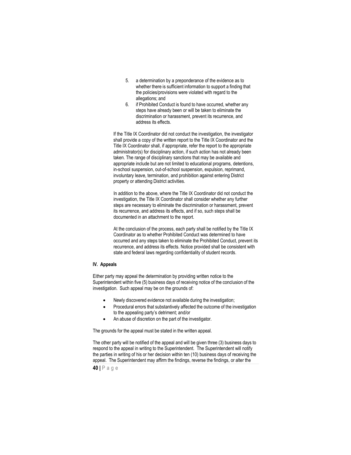- 5. a determination by a preponderance of the evidence as to whether there is sufficient information to support a finding that the policies/provisions were violated with regard to the allegations; and
- 6. if Prohibited Conduct is found to have occurred, whether any steps have already been or will be taken to eliminate the discrimination or harassment, prevent its recurrence, and address its effects.

If the Title IX Coordinator did not conduct the investigation, the investigator shall provide a copy of the written report to the Title IX Coordinator and the Title IX Coordinator shall, if appropriate, refer the report to the appropriate administrator(s) for disciplinary action, if such action has not already been taken. The range of disciplinary sanctions that may be available and appropriate include but are not limited to educational programs, detentions, in-school suspension, out-of-school suspension, expulsion, reprimand, involuntary leave, termination, and prohibition against entering District property or attending District activities.

In addition to the above, where the Title IX Coordinator did not conduct the investigation, the Title IX Coordinator shall consider whether any further steps are necessary to eliminate the discrimination or harassment, prevent its recurrence, and address its effects, and if so, such steps shall be documented in an attachment to the report.

At the conclusion of the process, each party shall be notified by the Title IX Coordinator as to whether Prohibited Conduct was determined to have occurred and any steps taken to eliminate the Prohibited Conduct, prevent its recurrence, and address its effects. Notice provided shall be consistent with state and federal laws regarding confidentiality of student records.

#### **IV. Appeals**

Either party may appeal the determination by providing written notice to the Superintendent within five (5) business days of receiving notice of the conclusion of the investigation. Such appeal may be on the grounds of:

- Newly discovered evidence not available during the investigation;
- Procedural errors that substantively affected the outcome of the investigation to the appealing party's detriment; and/or
- An abuse of discretion on the part of the investigator.

The grounds for the appeal must be stated in the written appeal.

The other party will be notified of the appeal and will be given three (3) business days to respond to the appeal in writing to the Superintendent. The Superintendent will notify the parties in writing of his or her decision within ten (10) business days of receiving the appeal. The Superintendent may affirm the findings, reverse the findings, or alter the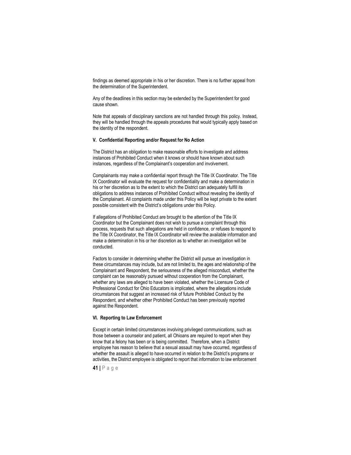findings as deemed appropriate in his or her discretion. There is no further appeal from the determination of the Superintendent.

Any of the deadlines in this section may be extended by the Superintendent for good cause shown.

Note that appeals of disciplinary sanctions are not handled through this policy. Instead, they will be handled through the appeals procedures that would typically apply based on the identity of the respondent.

#### **V. Confidential Reporting and/or Request for No Action**

The District has an obligation to make reasonable efforts to investigate and address instances of Prohibited Conduct when it knows or should have known about such instances, regardless of the Complainant's cooperation and involvement.

Complainants may make a confidential report through the Title IX Coordinator. The Title IX Coordinator will evaluate the request for confidentiality and make a determination in his or her discretion as to the extent to which the District can adequately fulfill its obligations to address instances of Prohibited Conduct without revealing the identity of the Complainant. All complaints made under this Policy will be kept private to the extent possible consistent with the District's obligations under this Policy.

If allegations of Prohibited Conduct are brought to the attention of the Title IX Coordinator but the Complainant does not wish to pursue a complaint through this process, requests that such allegations are held in confidence, or refuses to respond to the Title IX Coordinator, the Title IX Coordinator will review the available information and make a determination in his or her discretion as to whether an investigation will be conducted.

Factors to consider in determining whether the District will pursue an investigation in these circumstances may include, but are not limited to, the ages and relationship of the Complainant and Respondent, the seriousness of the alleged misconduct, whether the complaint can be reasonably pursued without cooperation from the Complainant, whether any laws are alleged to have been violated, whether the Licensure Code of Professional Conduct for Ohio Educators is implicated, where the allegations include circumstances that suggest an increased risk of future Prohibited Conduct by the Respondent, and whether other Prohibited Conduct has been previously reported against the Respondent.

#### **VI. Reporting to Law Enforcement**

Except in certain limited circumstances involving privileged communications, such as those between a counselor and patient, all Ohioans are required to report when they know that a felony has been or is being committed. Therefore, when a District employee has reason to believe that a sexual assault may have occurred, regardless of whether the assault is alleged to have occurred in relation to the District's programs or activities, the District employee is obligated to report that information to law enforcement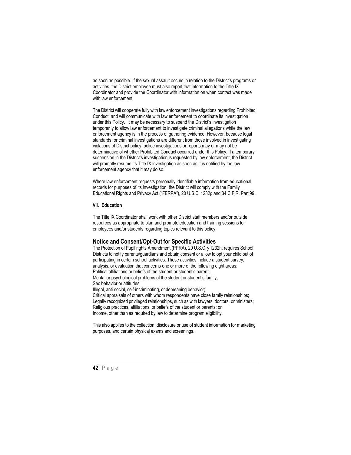as soon as possible. If the sexual assault occurs in relation to the District's programs or activities, the District employee must also report that information to the Title IX Coordinator and provide the Coordinator with information on when contact was made with law enforcement.

The District will cooperate fully with law enforcement investigations regarding Prohibited Conduct, and will communicate with law enforcement to coordinate its investigation under this Policy. It may be necessary to suspend the District's investigation temporarily to allow law enforcement to investigate criminal allegations while the law enforcement agency is in the process of gathering evidence. However, because legal standards for criminal investigations are different from those involved in investigating violations of District policy, police investigations or reports may or may not be determinative of whether Prohibited Conduct occurred under this Policy. If a temporary suspension in the District's investigation is requested by law enforcement, the District will promptly resume its Title IX investigation as soon as it is notified by the law enforcement agency that it may do so.

Where law enforcement requests personally identifiable information from educational records for purposes of its investigation, the District will comply with the Family Educational Rights and Privacy Act ("FERPA"), 20 U.S.C. 1232g and 34 C.F.R. Part 99.

#### **VII. Education**

The Title IX Coordinator shall work with other District staff members and/or outside resources as appropriate to plan and promote education and training sessions for employees and/or students regarding topics relevant to this policy.

#### <span id="page-42-0"></span>**Notice and Consent/Opt-Out for Specific Activities**

The Protection of Pupil rights Amendment (PPRA), 20 U.S.C.§ 1232h, requires School Districts to notify parents/guardians and obtain consent or allow to opt your child out of participating in certain school activities. These activities include a student survey, analysis, or evaluation that concerns one or more of the following eight areas: Political affiliations or beliefs of the student or student's parent: Mental or psychological problems of the student or student's family; Sec behavior or attitudes; Illegal, anti-social, self-incriminating, or demeaning behavior;

Critical appraisals of others with whom respondents have close family relationships; Legally recognized privileged relationships, such as with lawyers, doctors, or ministers; Religious practices, affiliations, or beliefs of the student or parents; or Income, other than as required by law to determine program eligibility.

<span id="page-42-1"></span>This also applies to the collection, disclosure or use of student information for marketing purposes, and certain physical exams and screenings.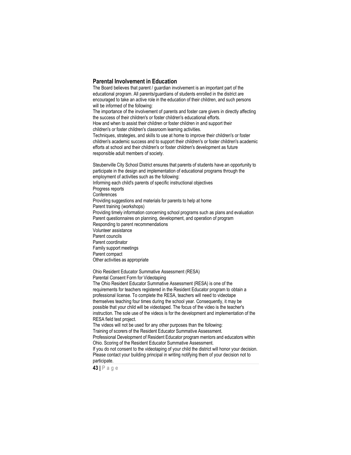### **Parental Involvement in Education**

The Board believes that parent / guardian involvement is an important part of the educational program. All parents/guardians of students enrolled in the district are encouraged to take an active role in the education of their children, and such persons will be informed of the following: The importance of the involvement of parents and foster care givers in directly affecting the success of their children's or foster children's educational efforts. How and when to assist their children or foster children in and support their children's or foster children's classroom learning activities. Techniques, strategies, and skills to use at home to improve their children's or foster children's academic success and to support their children's or foster children's academic efforts at school and their children's or foster children's development as future responsible adult members of society.

Steubenville City School District ensures that parents of students have an opportunity to participate in the design and implementation of educational programs through the employment of activities such as the following: Informing each child's parents of specific instructional objectives Progress reports **Conferences** Providing suggestions and materials for parents to help at home Parent training (workshops) Providing timely information concerning school programs such as plans and evaluation Parent questionnaires on planning, development, and operation of program Responding to parent recommendations Volunteer assistance Parent councils Parent coordinator Family support meetings Parent compact Other activities as appropriate

Ohio Resident Educator Summative Assessment (RESA) Parental Consent Form for Videotaping

The Ohio Resident Educator Summative Assessment (RESA) is one of the requirements for teachers registered in the Resident Educator program to obtain a professional license. To complete the RESA, teachers will need to videotape themselves teaching four times during the school year. Consequently, it may be possible that your child will be videotaped. The focus of the video is the teacher's instruction. The sole use of the videos is for the development and implementation of the RESA field test project.

The videos will not be used for any other purposes than the following: Training of scorers of the Resident Educator Summative Assessment. Professional Development of Resident Educator program mentors and educators within Ohio. Scoring of the Resident Educator Summative Assessment. If you do not consent to the videotaping of your child the district will honor your decision. Please contact your building principal in writing notifying them of your decision not to participate.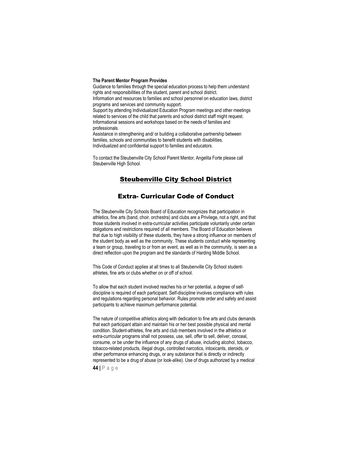#### <span id="page-44-0"></span>**The Parent Mentor Program Provides**

Guidance to families through the special education process to help them understand rights and responsibilities of the student, parent and school district. Information and resources to families and school personnel on education laws, district programs and services and community support. Support by attending Individualized Education Program meetings and other meetings related to services of the child that parents and school district staff might request. Informational sessions and workshops based on the needs of families and professionals. Assistance in strengthening and/ or building a collaborative partnership between

families, schools and communities to benefit students with disabilities. Individualized and confidential support to families and educators.

To contact the Steubenville City School Parent Mentor, Angelita Forte please call Steubenville High School.

## Steubenville City School District

## Extra- Curricular Code of Conduct

The Steubenville City Schools Board of Education recognizes that participation in athletics, fine arts (band, choir, orchestra) and clubs are a Privilege, not a right, and that those students involved in extra-curricular activities participate voluntarily under certain obligations and restrictions required of all members. The Board of Education believes that due to high visibility of these students, they have a strong influence on members of the student body as well as the community. These students conduct while representing a team or group, traveling to or from an event, as well as in the community, is seen as a direct reflection upon the program and the standards of Harding Middle School.

This Code of Conduct applies at all times to all Steubenville City School studentathletes, fine arts or clubs whether on or off of school.

To allow that each student involved reaches his or her potential, a degree of selfdiscipline is required of each participant. Self-discipline involves compliance with rules and regulations regarding personal behavior. Rules promote order and safety and assist participants to achieve maximum performance potential.

The nature of competitive athletics along with dedication to fine arts and clubs demands that each participant attain and maintain his or her best possible physical and mental condition. Student-athletes, fine arts and club members involved in the athletics or extra-curricular programs shall not possess, use, sell, offer to sell, deliver, conceal, consume, or be under the influence of any drugs of abuse, including alcohol, tobacco, tobacco-related products, illegal drugs, controlled narcotics, intoxicants, steroids, or other performance enhancing drugs, or any substance that is directly or indirectly represented to be a drug of abuse (or look-alike). Use of drugs authorized by a medical